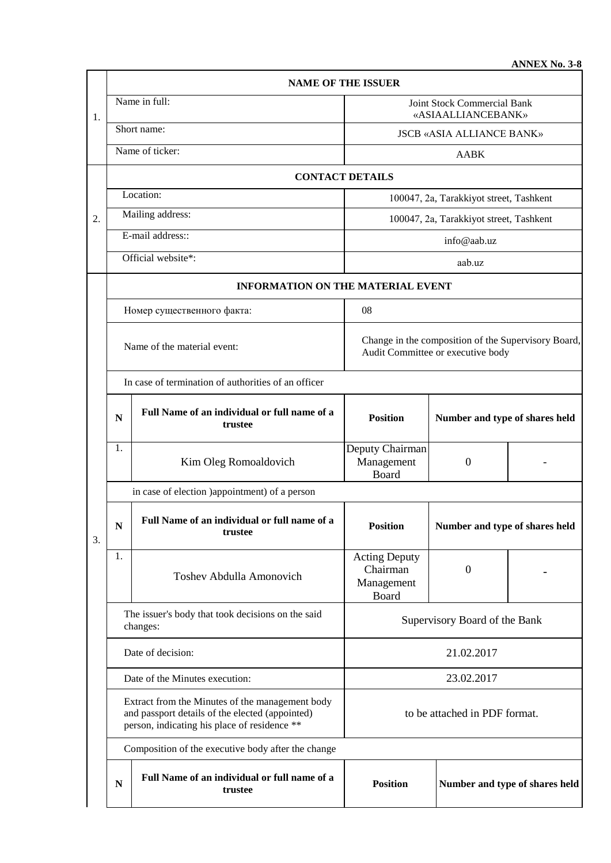**ANNEX No. 3-8**

|    | <b>NAME OF THE ISSUER</b>                                                                                                                          |                                                         |                                                                                          |                                |  |  |  |  |
|----|----------------------------------------------------------------------------------------------------------------------------------------------------|---------------------------------------------------------|------------------------------------------------------------------------------------------|--------------------------------|--|--|--|--|
| 1. | Name in full:                                                                                                                                      |                                                         | Joint Stock Commercial Bank<br>«ASIAALLIANCEBANK»                                        |                                |  |  |  |  |
|    | Short name:                                                                                                                                        |                                                         | <b>JSCB «ASIA ALLIANCE BANK»</b>                                                         |                                |  |  |  |  |
|    | Name of ticker:                                                                                                                                    |                                                         | AABK                                                                                     |                                |  |  |  |  |
| 2. | <b>CONTACT DETAILS</b>                                                                                                                             |                                                         |                                                                                          |                                |  |  |  |  |
|    | Location:                                                                                                                                          |                                                         | 100047, 2a, Tarakkiyot street, Tashkent                                                  |                                |  |  |  |  |
|    | Mailing address:                                                                                                                                   |                                                         | 100047, 2a, Tarakkiyot street, Tashkent                                                  |                                |  |  |  |  |
|    | E-mail address::                                                                                                                                   |                                                         | info@aab.uz                                                                              |                                |  |  |  |  |
|    | Official website*:                                                                                                                                 |                                                         | aab.uz                                                                                   |                                |  |  |  |  |
|    | <b>INFORMATION ON THE MATERIAL EVENT</b>                                                                                                           |                                                         |                                                                                          |                                |  |  |  |  |
|    | Номер существенного факта:                                                                                                                         |                                                         | 08                                                                                       |                                |  |  |  |  |
|    | Name of the material event:                                                                                                                        |                                                         | Change in the composition of the Supervisory Board,<br>Audit Committee or executive body |                                |  |  |  |  |
|    |                                                                                                                                                    | In case of termination of authorities of an officer     |                                                                                          |                                |  |  |  |  |
|    | N                                                                                                                                                  | Full Name of an individual or full name of a<br>trustee | <b>Position</b>                                                                          | Number and type of shares held |  |  |  |  |
|    | 1.                                                                                                                                                 | Kim Oleg Romoaldovich                                   | Deputy Chairman<br>Management<br>Board                                                   | $\mathbf{0}$                   |  |  |  |  |
|    | in case of election )appointment) of a person                                                                                                      |                                                         |                                                                                          |                                |  |  |  |  |
| 3. | ${\bf N}$                                                                                                                                          | Full Name of an individual or full name of a<br>trustee | <b>Position</b>                                                                          | Number and type of shares held |  |  |  |  |
|    | 1.                                                                                                                                                 | <b>Toshev Abdulla Amonovich</b>                         | <b>Acting Deputy</b><br>Chairman<br>Management<br>Board                                  | $\theta$                       |  |  |  |  |
|    | The issuer's body that took decisions on the said<br>changes:                                                                                      |                                                         | Supervisory Board of the Bank                                                            |                                |  |  |  |  |
|    | Date of decision:                                                                                                                                  |                                                         | 21.02.2017                                                                               |                                |  |  |  |  |
|    | Date of the Minutes execution:                                                                                                                     |                                                         | 23.02.2017                                                                               |                                |  |  |  |  |
|    | Extract from the Minutes of the management body<br>and passport details of the elected (appointed)<br>person, indicating his place of residence ** |                                                         | to be attached in PDF format.                                                            |                                |  |  |  |  |
|    | Composition of the executive body after the change                                                                                                 |                                                         |                                                                                          |                                |  |  |  |  |
|    | N                                                                                                                                                  | Full Name of an individual or full name of a<br>trustee | <b>Position</b><br>Number and type of shares held                                        |                                |  |  |  |  |